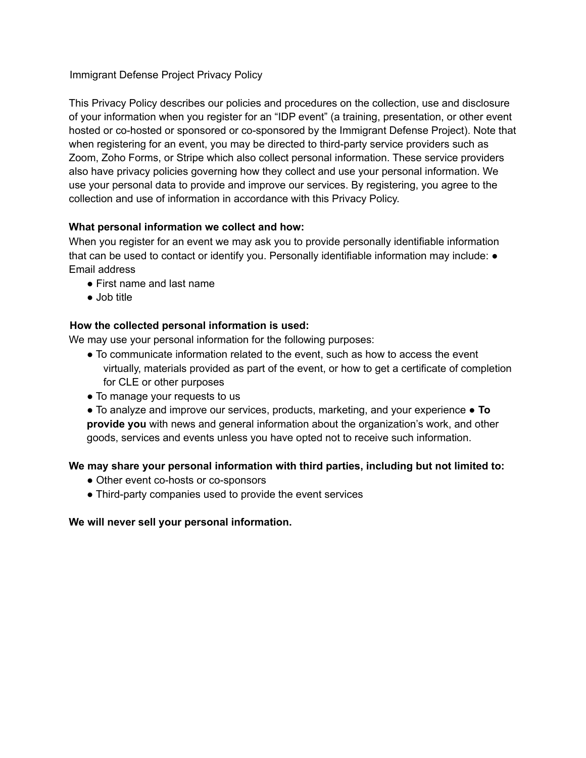# Immigrant Defense Project Privacy Policy

This Privacy Policy describes our policies and procedures on the collection, use and disclosure of your information when you register for an "IDP event" (a training, presentation, or other event hosted or co-hosted or sponsored or co-sponsored by the Immigrant Defense Project). Note that when registering for an event, you may be directed to third-party service providers such as Zoom, Zoho Forms, or Stripe which also collect personal information. These service providers also have privacy policies governing how they collect and use your personal information. We use your personal data to provide and improve our services. By registering, you agree to the collection and use of information in accordance with this Privacy Policy.

## **What personal information we collect and how:**

When you register for an event we may ask you to provide personally identifiable information that can be used to contact or identify you. Personally identifiable information may include:  $\bullet$ Email address

- First name and last name
- Job title

## **How the collected personal information is used:**

We may use your personal information for the following purposes:

- To communicate information related to the event, such as how to access the event virtually, materials provided as part of the event, or how to get a certificate of completion for CLE or other purposes
- To manage your requests to us
- To analyze and improve our services, products, marketing, and your experience **To provide you** with news and general information about the organization's work, and other goods, services and events unless you have opted not to receive such information.

### **We may share your personal information with third parties, including but not limited to:**

- Other event co-hosts or co-sponsors
- Third-party companies used to provide the event services

### **We will never sell your personal information.**